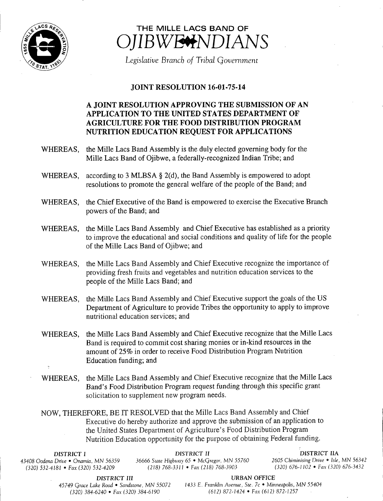

## THE MILLE LACS BAND OF IBWE<del>#</del>NDIANS

Legislative Branch of Tribal Government

## JOINT RESOLUTION 16-01-75-14

## A JOINT RESOLUTION APPROVING THE SUBMISSION OF AN APPLICATION TO THE UNITED STATES DEPARTMENT OF AGRICULTURE FOR THE FOOD DISTRIBUTION PROGRAM NUTRITION EDUCATION REQUEST FOR APPLICATIONS

- WHEREAS, the Mille Lacs Band Assembly is the duly elected governing body for the Mille Lacs Band of Ojibwe, a federally-recognized Indian Tribe; and
- WHEREAS, according to 3 MLBSA  $\S$  2(d), the Band Assembly is empowered to adopt resolutions to promote the general welfare of the people of the Band; and
- WHEREAS, the Chief Executive of the Band is empowered to exercise the Executive Branch powers of the Band; and
- WHEREAS, the Mille Lacs Band Assembly and Chief Executive has established as <sup>a</sup> priority to improve the educational and social conditions and quality of life for the people of the Mille Lacs Band of Ojibwe; and
- WHEREAS, the Mille Lacs Band Assembly and Chief Executive recognize the importance of providing fresh fruits and vegetables and nutrition education services to the people of the Mille Lacs Band; and
- WHEREAS, the Mille Lacs Band Assembly and Chief Executive support the goals of the US Department of Agriculture to provide Tribes the opportunity to apply to improve nutritional education services; and
- WHEREAS, the Mille Lacs Band Assembly and Chief Executive recognize that the Mille Lacs Band is required to commit cost sharing monies or in-kind resources in the amount of 25% in order to receive Food Distribution Program Nutrition Education funding; and
- WHEREAS, the Mille Lacs Band Assembly and Chief Executive recognize that the Mille Lacs Band's Food Distribution Program request funding through this specific grant solicitation to supplement new program needs.

NOW, THEREFORE, BE IT RESOLVED that the Mille Lacs Band Assembly and Chief Executive do hereby authorize and approve the submission of an application to the United States Department of Agriculture's Food Distribution Program Nutrition Education opportunity for the purpose of obtaining Federal funding.

| DISTRICT I                            | DISTRICT II                                         | DISTRICT IIA                            |
|---------------------------------------|-----------------------------------------------------|-----------------------------------------|
| 43408 Oodena Drive • Onamia, MN 56359 | 36666 State Highway 65 $\bullet$ McGregor, MN 55760 | 2605 Chiminising Drive • Isle, MN 56342 |
| $(320)$ 532-4181 • Fax (320) 532-4209 | (218) 768-3311 • Fax (218) 768-3903                 | $(320)$ 676-1102 • Fax (320) 676-3432   |

DISTRICT III URBAN OFFICE

45749 Grace Lake Road • Sandstone, MN 55072 <sup>1433</sup> E. Franklin Avenue, Ste. 7c • Minneapolis, MN 55404 320) 384- 6240 • Fax( 320) 384- 6190 612) 872- 1424 • Fax( 612) 872- 1257